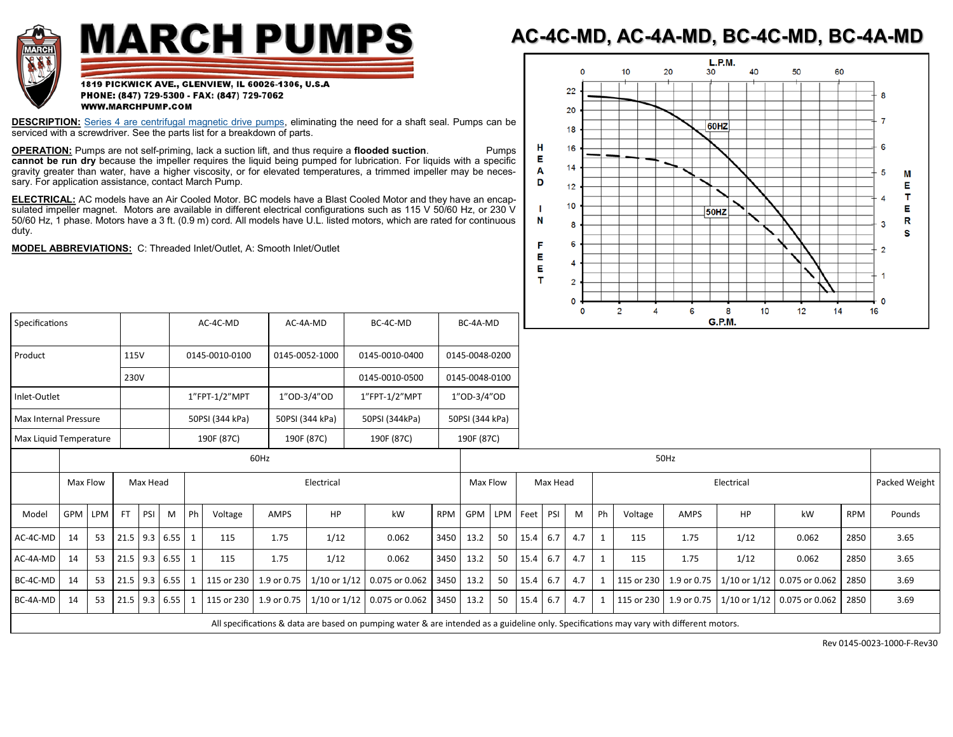

## **MARCH PUMPS**

## **AC-4C-MD, AC-4A-MD, BC-4C-MD, BC-4A-MD**

1819 PICKWICK AVE., GLENVIEW, IL 60026-1306, U.S.A PHONE: (847) 729-5300 - FAX: (847) 729-7062 WWW.MARCHPUMP.COM

**DESCRIPTION:** [Series 4 are centrifugal magnetic drive pumps,](http://www.marchpump.com/series-4) eliminating the need for a shaft seal. Pumps can be serviced with a screwdriver. See the parts list for a breakdown of parts.

**OPERATION:** Pumps are not self-priming, lack a suction lift, and thus require a **flooded suction**. Pumps **cannot be run dry** because the impeller requires the liquid being pumped for lubrication. For liquids with a specific gravity greater than water, have a higher viscosity, or for elevated temperatures, a trimmed impeller may be necessary. For application assistance, contact March Pump.

**ELECTRICAL:** AC models have an Air Cooled Motor. BC models have a Blast Cooled Motor and they have an encapsulated impeller magnet. Motors are available in different electrical configurations such as 115 V 50/60 Hz, or 230 V 50/60 Hz, 1 phase. Motors have a 3 ft. (0.9 m) cord. All models have U.L. listed motors, which are rated for continuous duty.

**MODEL ABBREVIATIONS:** C: Threaded Inlet/Outlet, A: Smooth Inlet/Outlet



| Specifications         |      | AC-4C-MD        | AC-4A-MD        | BC-4C-MD       | BC-4A-MD        |
|------------------------|------|-----------------|-----------------|----------------|-----------------|
|                        |      |                 |                 |                |                 |
| Product                | 115V | 0145-0010-0100  | 0145-0052-1000  | 0145-0010-0400 | 0145-0048-0200  |
|                        | 230V |                 |                 | 0145-0010-0500 | 0145-0048-0100  |
| Inlet-Outlet           |      | 1"FPT-1/2"MPT   | 1"OD-3/4"OD     | 1"FPT-1/2"MPT  | 1"OD-3/4"OD     |
| Max Internal Pressure  |      | 50PSI (344 kPa) | 50PSI (344 kPa) | 50PSI (344kPa) | 50PSI (344 kPa) |
| Max Liquid Temperature |      | 190F (87C)      | 190F (87C)      | 190F (87C)     | 190F (87C)      |

| <b>TVIGA LIGGIO TEMPLE GLATE</b>                                                                                                        |                      |         |           |            |                 |                | 1501107C |             | 10010000  | 1501107C                                                        |            | 1501107C     |    |                  |     |     |    |         |               |      |                                                                     |            |        |
|-----------------------------------------------------------------------------------------------------------------------------------------|----------------------|---------|-----------|------------|-----------------|----------------|----------|-------------|-----------|-----------------------------------------------------------------|------------|--------------|----|------------------|-----|-----|----|---------|---------------|------|---------------------------------------------------------------------|------------|--------|
|                                                                                                                                         | 60Hz                 |         |           |            |                 |                |          |             |           | 50Hz                                                            |            |              |    |                  |     |     |    |         |               |      |                                                                     |            |        |
|                                                                                                                                         | Max Flow<br>Max Head |         |           | Electrical |                 |                |          |             | Max Flow  |                                                                 |            | Max Head     |    | Electrical       |     |     |    |         | Packed Weight |      |                                                                     |            |        |
| Model                                                                                                                                   |                      | GPM LPM | <b>FT</b> | PSI        | M               | P <sub>h</sub> | Voltage  | <b>AMPS</b> | <b>HP</b> | kW                                                              | <b>RPM</b> | GPM LPM Feet |    |                  | PSI | M   | Ph | Voltage | AMPS          | HP   | kW                                                                  | <b>RPM</b> | Pounds |
| AC-4C-MD                                                                                                                                | 14                   | 53      |           |            | $21.5$ 9.3 6.55 |                | 115      | 1.75        | 1/12      | 0.062                                                           | 3450       | 13.2         | 50 | 15.4             | 6.7 | 4.7 |    | 115     | 1.75          | 1/12 | 0.062                                                               | 2850       | 3.65   |
| AC-4A-MD                                                                                                                                | 14                   | 53      |           |            | $21.5$ 9.3 6.55 |                | 115      | 1.75        | 1/12      | 0.062                                                           | 3450       | 13.2         | 50 | 15.4             | 6.7 | 4.7 |    | 115     | 1.75          | 1/12 | 0.062                                                               | 2850       | 3.65   |
| BC-4C-MD                                                                                                                                | 14                   | 53      |           |            | $21.5$ 9.3 6.55 |                |          |             |           | 1 115 or 230 1.9 or 0.75 1/10 or 1/12 0.075 or 0.062 3450       |            | 13.2         | 50 | $15.4 \quad 6.7$ |     | 4.7 | 1  |         |               |      | 115 or 230   1.9 or 0.75   1/10 or 1/12   0.075 or 0.062   2850     |            | 3.69   |
| BC-4A-MD                                                                                                                                | 14                   | 53      |           |            | $21.5$ 9.3 6.55 |                |          |             |           | 115 or 230   1.9 or 0.75   1/10 or 1/12   0.075 or 0.062   3450 |            | 13.2         | 50 | 15.4 6.7         |     | 4.7 |    |         |               |      | 1   115 or 230   1.9 or 0.75   1/10 or 1/12   0.075 or 0.062   2850 |            | 3.69   |
| All specifications & data are based on pumping water & are intended as a guideline only. Specifications may vary with different motors. |                      |         |           |            |                 |                |          |             |           |                                                                 |            |              |    |                  |     |     |    |         |               |      |                                                                     |            |        |

Rev 0145-0023-1000-F-Rev30